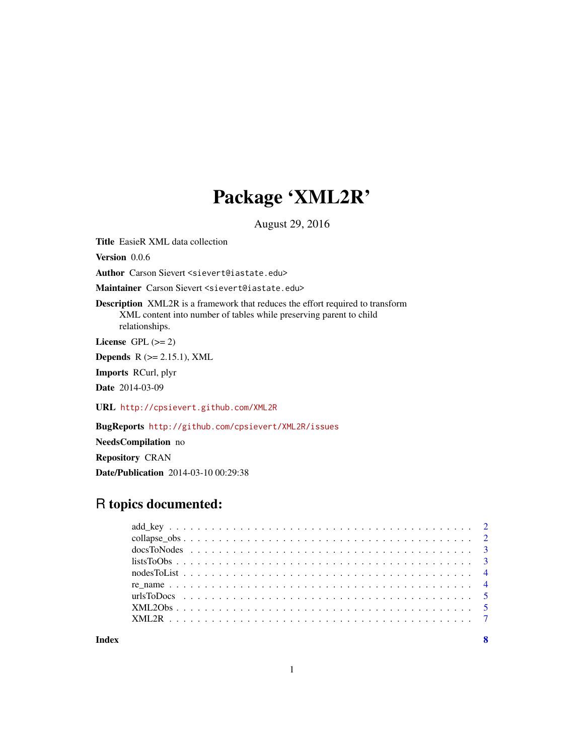## Package 'XML2R'

August 29, 2016

<span id="page-0-0"></span>Title EasieR XML data collection

Version 0.0.6

Author Carson Sievert <sievert@iastate.edu>

Maintainer Carson Sievert <sievert@iastate.edu>

Description XML2R is a framework that reduces the effort required to transform XML content into number of tables while preserving parent to child relationships.

License GPL  $(>= 2)$ 

Depends  $R$  ( $>= 2.15.1$ ), XML

Imports RCurl, plyr

Date 2014-03-09

URL <http://cpsievert.github.com/XML2R>

BugReports <http://github.com/cpsievert/XML2R/issues>

NeedsCompilation no

Repository CRAN

Date/Publication 2014-03-10 00:29:38

## R topics documented:

| list5700bs |  |
|------------|--|
|            |  |
|            |  |
|            |  |
|            |  |
|            |  |
|            |  |

**Index** [8](#page-7-0) **8**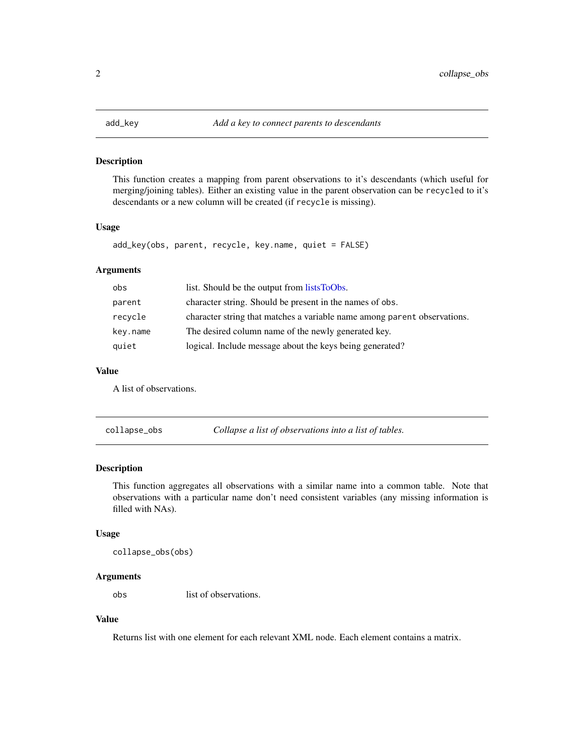<span id="page-1-1"></span><span id="page-1-0"></span>

This function creates a mapping from parent observations to it's descendants (which useful for merging/joining tables). Either an existing value in the parent observation can be recycled to it's descendants or a new column will be created (if recycle is missing).

#### Usage

```
add_key(obs, parent, recycle, key.name, quiet = FALSE)
```
## Arguments

| obs      | list. Should be the output from lists ToObs.                             |
|----------|--------------------------------------------------------------------------|
| parent   | character string. Should be present in the names of obs.                 |
| recycle  | character string that matches a variable name among parent observations. |
| key.name | The desired column name of the newly generated key.                      |
| quiet    | logical. Include message about the keys being generated?                 |

#### Value

A list of observations.

collapse\_obs *Collapse a list of observations into a list of tables.*

## Description

This function aggregates all observations with a similar name into a common table. Note that observations with a particular name don't need consistent variables (any missing information is filled with NAs).

### Usage

```
collapse_obs(obs)
```
#### Arguments

obs list of observations.

## Value

Returns list with one element for each relevant XML node. Each element contains a matrix.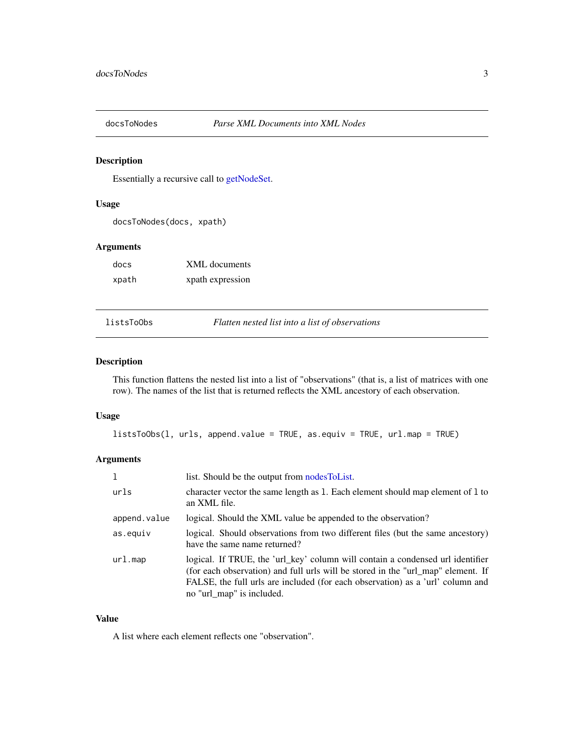<span id="page-2-2"></span><span id="page-2-0"></span>

Essentially a recursive call to [getNodeSet.](#page-0-0)

## Usage

docsToNodes(docs, xpath)

#### Arguments

| docs  | <b>XML</b> documents |
|-------|----------------------|
| xpath | xpath expression     |

<span id="page-2-1"></span>listsToObs *Flatten nested list into a list of observations*

## Description

This function flattens the nested list into a list of "observations" (that is, a list of matrices with one row). The names of the list that is returned reflects the XML ancestory of each observation.

#### Usage

listsToObs(l, urls, append.value = TRUE, as.equiv = TRUE, url.map = TRUE)

## Arguments

| 1            | list. Should be the output from nodes ToList.                                                                                                                                                                                                                                     |
|--------------|-----------------------------------------------------------------------------------------------------------------------------------------------------------------------------------------------------------------------------------------------------------------------------------|
| urls         | character vector the same length as 1. Each element should map element of 1 to<br>an XML file.                                                                                                                                                                                    |
| append.value | logical. Should the XML value be appended to the observation?                                                                                                                                                                                                                     |
| as.equiv     | logical. Should observations from two different files (but the same ancestory)<br>have the same name returned?                                                                                                                                                                    |
| url.map      | logical. If TRUE, the 'url_key' column will contain a condensed url identifier<br>(for each observation) and full urls will be stored in the "url_map" element. If<br>FALSE, the full urls are included (for each observation) as a 'url' column and<br>no "url_map" is included. |

## Value

A list where each element reflects one "observation".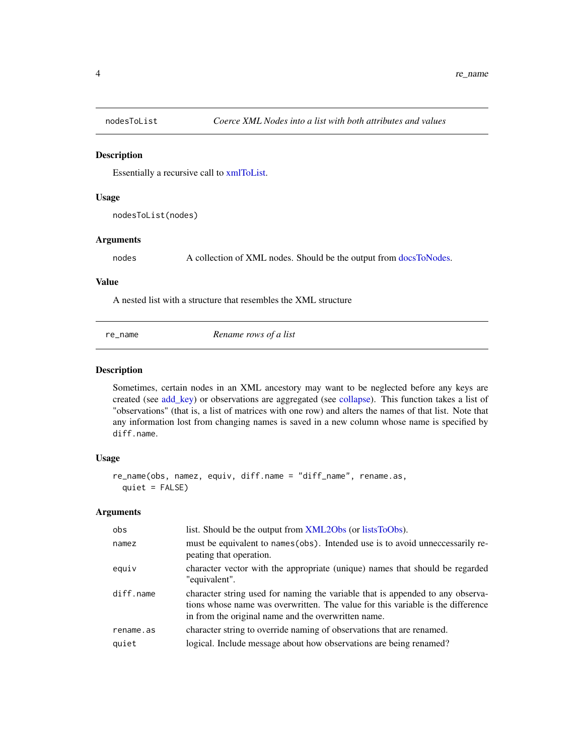<span id="page-3-1"></span><span id="page-3-0"></span>

Essentially a recursive call to [xmlToList.](#page-0-0)

#### Usage

```
nodesToList(nodes)
```
#### Arguments

nodes A collection of XML nodes. Should be the output from [docsToNodes.](#page-2-2)

#### Value

A nested list with a structure that resembles the XML structure

re\_name *Rename rows of a list*

#### Description

Sometimes, certain nodes in an XML ancestory may want to be neglected before any keys are created (see [add\\_key\)](#page-1-1) or observations are aggregated (see [collapse\)](#page-0-0). This function takes a list of "observations" (that is, a list of matrices with one row) and alters the names of that list. Note that any information lost from changing names is saved in a new column whose name is specified by diff.name.

#### Usage

```
re_name(obs, namez, equiv, diff.name = "diff_name", rename.as,
  quiet = FALSE)
```
## Arguments

| obs       | list. Should be the output from XML2Obs (or listsToObs).                                                                                                                                                                 |
|-----------|--------------------------------------------------------------------------------------------------------------------------------------------------------------------------------------------------------------------------|
| namez     | must be equivalent to names (obs). Intended use is to avoid unneccessarily re-<br>peating that operation.                                                                                                                |
| equiv     | character vector with the appropriate (unique) names that should be regarded<br>"equivalent".                                                                                                                            |
| diff.name | character string used for naming the variable that is appended to any observa-<br>tions whose name was overwritten. The value for this variable is the difference<br>in from the original name and the overwritten name. |
| rename.as | character string to override naming of observations that are renamed.                                                                                                                                                    |
| quiet     | logical. Include message about how observations are being renamed?                                                                                                                                                       |
|           |                                                                                                                                                                                                                          |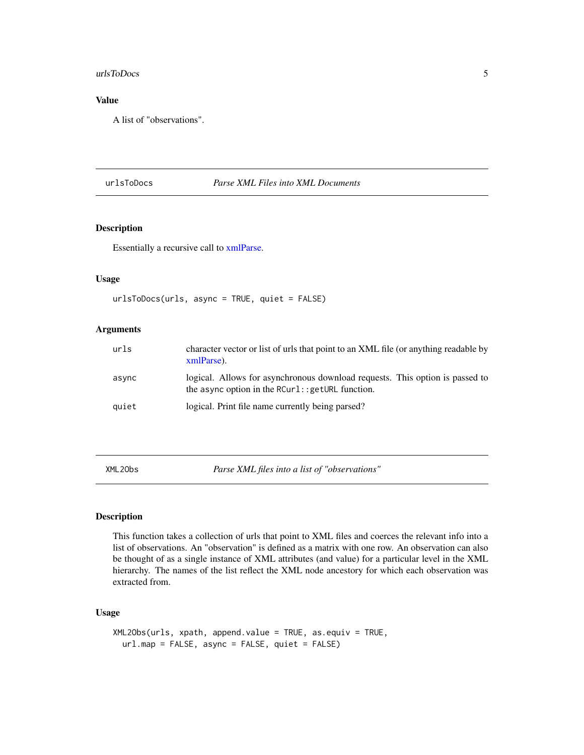#### <span id="page-4-0"></span>urlsToDocs 5

## Value

A list of "observations".

## <span id="page-4-2"></span>urlsToDocs *Parse XML Files into XML Documents*

#### Description

Essentially a recursive call to [xmlParse.](#page-0-0)

## Usage

```
urlsToDocs(urls, async = TRUE, quiet = FALSE)
```
## Arguments

| urls  | character vector or list of urls that point to an XML file (or anything readable by<br>xmlParse).                                 |
|-------|-----------------------------------------------------------------------------------------------------------------------------------|
| async | logical. Allows for asynchronous download requests. This option is passed to<br>the async option in the $RCurl::getURL$ function. |
| quiet | logical. Print file name currently being parsed?                                                                                  |

<span id="page-4-1"></span>XML2Obs *Parse XML files into a list of "observations"*

## Description

This function takes a collection of urls that point to XML files and coerces the relevant info into a list of observations. An "observation" is defined as a matrix with one row. An observation can also be thought of as a single instance of XML attributes (and value) for a particular level in the XML hierarchy. The names of the list reflect the XML node ancestory for which each observation was extracted from.

## Usage

```
XML2Obs(urls, xpath, append.value = TRUE, as.equiv = TRUE,
  url.map = FALSE, async = FALSE, quiet = FALSE)
```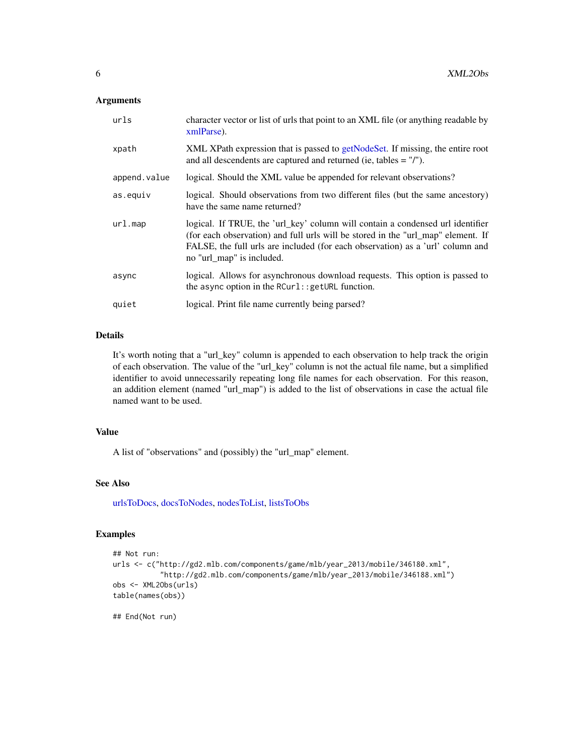#### <span id="page-5-0"></span>Arguments

| urls         | character vector or list of urls that point to an XML file (or anything readable by<br>xmlParse).                                                                                                                                                                                 |
|--------------|-----------------------------------------------------------------------------------------------------------------------------------------------------------------------------------------------------------------------------------------------------------------------------------|
| xpath        | XML XPath expression that is passed to getNodeSet. If missing, the entire root<br>and all descendents are captured and returned (ie, tables $=$ "/").                                                                                                                             |
| append.value | logical. Should the XML value be appended for relevant observations?                                                                                                                                                                                                              |
| as.equiv     | logical. Should observations from two different files (but the same ancestory)<br>have the same name returned?                                                                                                                                                                    |
| ur1.map      | logical. If TRUE, the 'url_key' column will contain a condensed url identifier<br>(for each observation) and full urls will be stored in the "url_map" element. If<br>FALSE, the full urls are included (for each observation) as a 'url' column and<br>no "url_map" is included. |
| async        | logical. Allows for asynchronous download requests. This option is passed to<br>the async option in the RCurl:: getURL function.                                                                                                                                                  |
| quiet        | logical. Print file name currently being parsed?                                                                                                                                                                                                                                  |

## Details

It's worth noting that a "url\_key" column is appended to each observation to help track the origin of each observation. The value of the "url\_key" column is not the actual file name, but a simplified identifier to avoid unnecessarily repeating long file names for each observation. For this reason, an addition element (named "url\_map") is added to the list of observations in case the actual file named want to be used.

## Value

A list of "observations" and (possibly) the "url\_map" element.

#### See Also

[urlsToDocs,](#page-4-2) [docsToNodes,](#page-2-2) [nodesToList,](#page-3-1) [listsToObs](#page-2-1)

## Examples

```
## Not run:
urls <- c("http://gd2.mlb.com/components/game/mlb/year_2013/mobile/346180.xml",
           "http://gd2.mlb.com/components/game/mlb/year_2013/mobile/346188.xml")
obs <- XML2Obs(urls)
table(names(obs))
```
## End(Not run)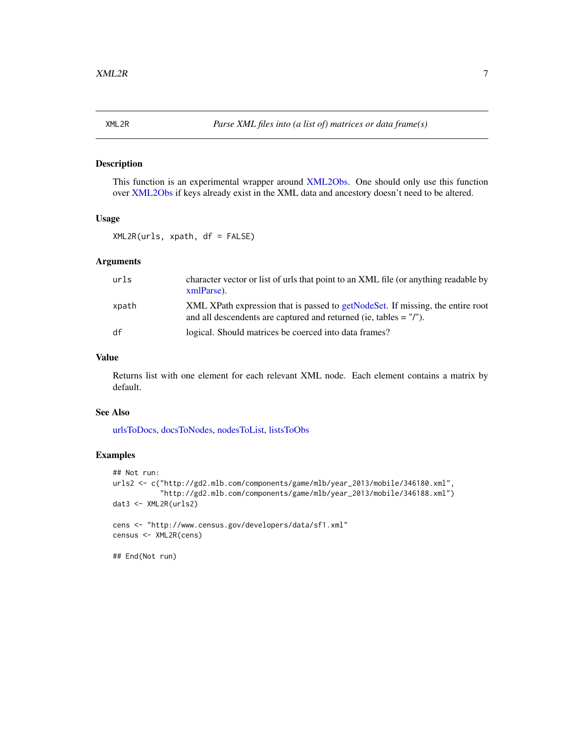<span id="page-6-0"></span>

This function is an experimental wrapper around [XML2Obs.](#page-4-1) One should only use this function over [XML2Obs](#page-4-1) if keys already exist in the XML data and ancestory doesn't need to be altered.

#### Usage

XML2R(urls, xpath, df = FALSE)

## Arguments

| urls  | character vector or list of urls that point to an XML file (or anything readable by<br>xmlParse).                                                     |
|-------|-------------------------------------------------------------------------------------------------------------------------------------------------------|
| xpath | XML XPath expression that is passed to getNodeSet. If missing, the entire root<br>and all descendents are captured and returned (ie, tables $=$ "/"). |
| df    | logical. Should matrices be coerced into data frames?                                                                                                 |

## Value

Returns list with one element for each relevant XML node. Each element contains a matrix by default.

#### See Also

[urlsToDocs,](#page-4-2) [docsToNodes,](#page-2-2) [nodesToList,](#page-3-1) [listsToObs](#page-2-1)

## Examples

```
## Not run:
urls2 <- c("http://gd2.mlb.com/components/game/mlb/year_2013/mobile/346180.xml",
           "http://gd2.mlb.com/components/game/mlb/year_2013/mobile/346188.xml")
dat3 <- XML2R(urls2)
cens <- "http://www.census.gov/developers/data/sf1.xml"
census <- XML2R(cens)
## End(Not run)
```